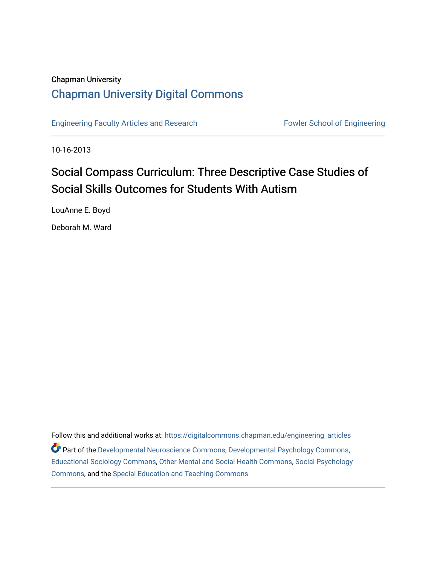## Chapman University [Chapman University Digital Commons](https://digitalcommons.chapman.edu/)

[Engineering Faculty Articles and Research](https://digitalcommons.chapman.edu/engineering_articles) Fowler School of Engineering

10-16-2013

# Social Compass Curriculum: Three Descriptive Case Studies of Social Skills Outcomes for Students With Autism

LouAnne E. Boyd

Deborah M. Ward

Follow this and additional works at: [https://digitalcommons.chapman.edu/engineering\\_articles](https://digitalcommons.chapman.edu/engineering_articles?utm_source=digitalcommons.chapman.edu%2Fengineering_articles%2F106&utm_medium=PDF&utm_campaign=PDFCoverPages)  Part of the [Developmental Neuroscience Commons,](http://network.bepress.com/hgg/discipline/59?utm_source=digitalcommons.chapman.edu%2Fengineering_articles%2F106&utm_medium=PDF&utm_campaign=PDFCoverPages) [Developmental Psychology Commons,](http://network.bepress.com/hgg/discipline/410?utm_source=digitalcommons.chapman.edu%2Fengineering_articles%2F106&utm_medium=PDF&utm_campaign=PDFCoverPages) [Educational Sociology Commons,](http://network.bepress.com/hgg/discipline/1071?utm_source=digitalcommons.chapman.edu%2Fengineering_articles%2F106&utm_medium=PDF&utm_campaign=PDFCoverPages) [Other Mental and Social Health Commons,](http://network.bepress.com/hgg/discipline/717?utm_source=digitalcommons.chapman.edu%2Fengineering_articles%2F106&utm_medium=PDF&utm_campaign=PDFCoverPages) [Social Psychology](http://network.bepress.com/hgg/discipline/414?utm_source=digitalcommons.chapman.edu%2Fengineering_articles%2F106&utm_medium=PDF&utm_campaign=PDFCoverPages)  [Commons](http://network.bepress.com/hgg/discipline/414?utm_source=digitalcommons.chapman.edu%2Fengineering_articles%2F106&utm_medium=PDF&utm_campaign=PDFCoverPages), and the [Special Education and Teaching Commons](http://network.bepress.com/hgg/discipline/801?utm_source=digitalcommons.chapman.edu%2Fengineering_articles%2F106&utm_medium=PDF&utm_campaign=PDFCoverPages)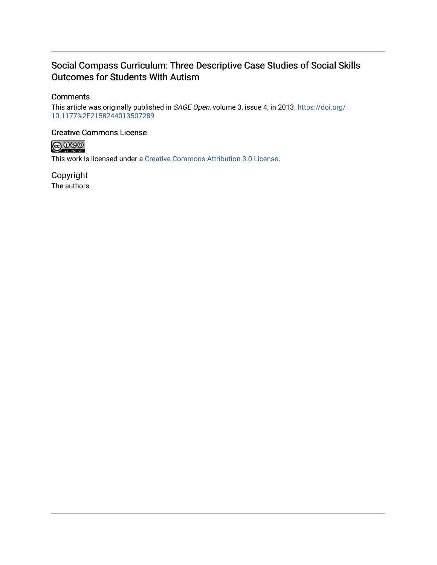## Social Compass Curriculum: Three Descriptive Case Studies of Social Skills Outcomes for Students With Autism

## **Comments**

This article was originally published in SAGE Open, volume 3, issue 4, in 2013. [https://doi.org/](https://doi.org/10.1177%2F2158244013507289) [10.1177%2F2158244013507289](https://doi.org/10.1177%2F2158244013507289) 

## Creative Commons License



This work is licensed under a [Creative Commons Attribution 3.0 License](https://creativecommons.org/licenses/by/3.0/).

Copyright The authors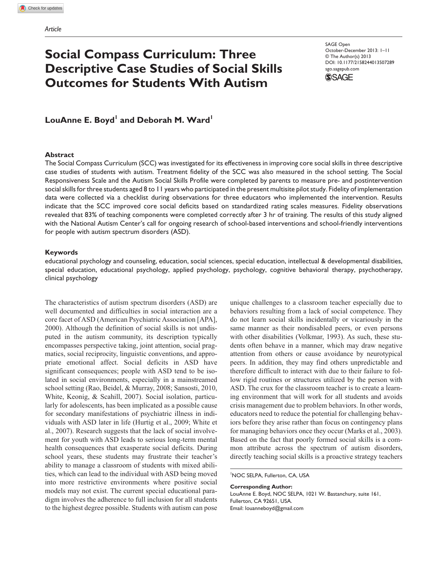# **Social Compass Curriculum: Three Descriptive Case Studies of Social Skills Outcomes for Students With Autism**

SAGE Open October-December 2013: 1–11 © The Author(s) 2013 DOI: 10.1177/2158244013507289 sgo.sagepub.com



LouAnne E. Boyd<sup>1</sup> and Deborah M. Ward<sup>1</sup>

#### **Abstract**

The Social Compass Curriculum (SCC) was investigated for its effectiveness in improving core social skills in three descriptive case studies of students with autism. Treatment fidelity of the SCC was also measured in the school setting. The Social Responsiveness Scale and the Autism Social Skills Profile were completed by parents to measure pre- and postintervention social skills for three students aged 8 to 11 years who participated in the present multisite pilot study. Fidelity of implementation data were collected via a checklist during observations for three educators who implemented the intervention. Results indicate that the SCC improved core social deficits based on standardized rating scales measures. Fidelity observations revealed that 83% of teaching components were completed correctly after 3 hr of training. The results of this study aligned with the National Autism Center's call for ongoing research of school-based interventions and school-friendly interventions for people with autism spectrum disorders (ASD).

#### **Keywords**

educational psychology and counseling, education, social sciences, special education, intellectual & developmental disabilities, special education, educational psychology, applied psychology, psychology, cognitive behavioral therapy, psychotherapy, clinical psychology

The characteristics of autism spectrum disorders (ASD) are well documented and difficulties in social interaction are a core facet of ASD (American Psychiatric Association [APA], 2000). Although the definition of social skills is not undisputed in the autism community, its description typically encompasses perspective taking, joint attention, social pragmatics, social reciprocity, linguistic conventions, and appropriate emotional affect. Social deficits in ASD have significant consequences; people with ASD tend to be isolated in social environments, especially in a mainstreamed school setting (Rao, Beidel, & Murray, 2008; Sansosti, 2010, White, Keonig, & Scahill, 2007). Social isolation, particularly for adolescents, has been implicated as a possible cause for secondary manifestations of psychiatric illness in individuals with ASD later in life (Hurtig et al., 2009; White et al., 2007). Research suggests that the lack of social involvement for youth with ASD leads to serious long-term mental health consequences that exasperate social deficits. During school years, these students may frustrate their teacher's ability to manage a classroom of students with mixed abilities, which can lead to the individual with ASD being moved into more restrictive environments where positive social models may not exist. The current special educational paradigm involves the adherence to full inclusion for all students to the highest degree possible. Students with autism can pose

unique challenges to a classroom teacher especially due to behaviors resulting from a lack of social competence. They do not learn social skills incidentally or vicariously in the same manner as their nondisabled peers, or even persons with other disabilities (Volkmar, 1993). As such, these students often behave in a manner, which may draw negative attention from others or cause avoidance by neurotypical peers. In addition, they may find others unpredictable and therefore difficult to interact with due to their failure to follow rigid routines or structures utilized by the person with ASD. The crux for the classroom teacher is to create a learning environment that will work for all students and avoids crisis management due to problem behaviors. In other words, educators need to reduce the potential for challenging behaviors before they arise rather than focus on contingency plans for managing behaviors once they occur (Marks et al., 2003). Based on the fact that poorly formed social skills is a common attribute across the spectrum of autism disorders, directly teaching social skills is a proactive strategy teachers

1 NOC SELPA, Fullerton, CA, USA

**Corresponding Author:**

LouAnne E. Boyd, NOC SELPA, 1021 W. Bastanchury, suite 161, Fullerton, CA 92651, USA. Email: louanneboyd@gmail.com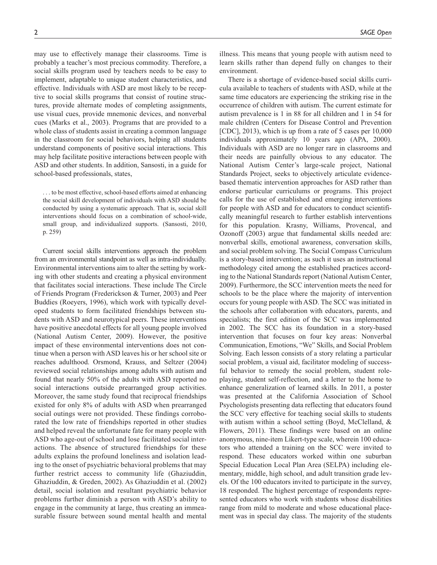may use to effectively manage their classrooms. Time is probably a teacher's most precious commodity. Therefore, a social skills program used by teachers needs to be easy to implement, adaptable to unique student characteristics, and effective. Individuals with ASD are most likely to be receptive to social skills programs that consist of routine structures, provide alternate modes of completing assignments, use visual cues, provide mnemonic devices, and nonverbal cues (Marks et al., 2003). Programs that are provided to a whole class of students assist in creating a common language in the classroom for social behaviors, helping all students understand components of positive social interactions. This may help facilitate positive interactions between people with ASD and other students. In addition, Sansosti, in a guide for school-based professionals, states,

. . . to be most effective, school-based efforts aimed at enhancing the social skill development of individuals with ASD should be conducted by using a systematic approach. That is, social skill interventions should focus on a combination of school-wide, small group, and individualized supports. (Sansosti, 2010, p. 259)

Current social skills interventions approach the problem from an environmental standpoint as well as intra-individually. Environmental interventions aim to alter the setting by working with other students and creating a physical environment that facilitates social interactions. These include The Circle of Friends Program (Frederickson & Turner, 2003) and Peer Buddies (Roeyers, 1996), which work with typically developed students to form facilitated friendships between students with ASD and neurotypical peers. These interventions have positive anecdotal effects for all young people involved (National Autism Center, 2009). However, the positive impact of these environmental interventions does not continue when a person with ASD leaves his or her school site or reaches adulthood. Orsmond, Krauss, and Seltzer (2004) reviewed social relationships among adults with autism and found that nearly 50% of the adults with ASD reported no social interactions outside prearranged group activities. Moreover, the same study found that reciprocal friendships existed for only 8% of adults with ASD when prearranged social outings were not provided. These findings corroborated the low rate of friendships reported in other studies and helped reveal the unfortunate fate for many people with ASD who age-out of school and lose facilitated social interactions. The absence of structured friendships for these adults explains the profound loneliness and isolation leading to the onset of psychiatric behavioral problems that may further restrict access to community life (Ghaziuddin, Ghaziuddin, & Greden, 2002). As Ghaziuddin et al. (2002) detail, social isolation and resultant psychiatric behavior problems further diminish a person with ASD's ability to engage in the community at large, thus creating an immeasurable fissure between sound mental health and mental

illness. This means that young people with autism need to learn skills rather than depend fully on changes to their environment.

There is a shortage of evidence-based social skills curricula available to teachers of students with ASD, while at the same time educators are experiencing the striking rise in the occurrence of children with autism. The current estimate for autism prevalence is 1 in 88 for all children and 1 in 54 for male children (Centers for Disease Control and Prevention [CDC], 2013), which is up from a rate of 5 cases per 10,000 individuals approximately 10 years ago (APA, 2000). Individuals with ASD are no longer rare in classrooms and their needs are painfully obvious to any educator. The National Autism Center's large-scale project, National Standards Project, seeks to objectively articulate evidencebased thematic intervention approaches for ASD rather than endorse particular curriculums or programs. This project calls for the use of established and emerging interventions for people with ASD and for educators to conduct scientifically meaningful research to further establish interventions for this population. Krasny, Williams, Provencal, and Ozonoff (2003) argue that fundamental skills needed are: nonverbal skills, emotional awareness, conversation skills, and social problem solving. The Social Compass Curriculum is a story-based intervention; as such it uses an instructional methodology cited among the established practices according to the National Standards report (National Autism Center, 2009). Furthermore, the SCC intervention meets the need for schools to be the place where the majority of intervention occurs for young people with ASD. The SCC was initiated in the schools after collaboration with educators, parents, and specialists; the first edition of the SCC was implemented in 2002. The SCC has its foundation in a story-based intervention that focuses on four key areas: Nonverbal Communication, Emotions, "We" Skills, and Social Problem Solving. Each lesson consists of a story relating a particular social problem, a visual aid, facilitator modeling of successful behavior to remedy the social problem, student roleplaying, student self-reflection, and a letter to the home to enhance generalization of learned skills. In 2011, a poster was presented at the California Association of School Psychologists presenting data reflecting that educators found the SCC very effective for teaching social skills to students with autism within a school setting (Boyd, McClelland, & Flowers, 2011). These findings were based on an online anonymous, nine-item Likert-type scale, wherein 100 educators who attended a training on the SCC were invited to respond. These educators worked within one suburban Special Education Local Plan Area (SELPA) including elementary, middle, high school, and adult transition grade levels. Of the 100 educators invited to participate in the survey, 18 responded. The highest percentage of respondents represented educators who work with students whose disabilities range from mild to moderate and whose educational placement was in special day class. The majority of the students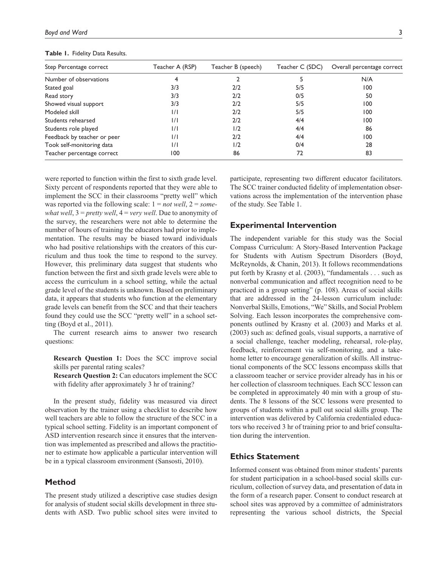#### **Table 1.** Fidelity Data Results.

| Step Percentage correct     | Teacher A (RSP) | Teacher B (speech) | Teacher C (SDC) | Overall percentage correct |
|-----------------------------|-----------------|--------------------|-----------------|----------------------------|
| Number of observations      |                 |                    |                 | N/A                        |
| Stated goal                 | 3/3             | 2/2                | 5/5             | 100                        |
| Read story                  | 3/3             | 2/2                | 0/5             | 50                         |
| Showed visual support       | 3/3             | 2/2                | 5/5             | 100                        |
| Modeled skill               | 1/1             | 2/2                | 5/5             | 100                        |
| Students rehearsed          | 1/1             | 2/2                | 4/4             | 100                        |
| Students role played        | 1/1             | 1/2                | 4/4             | 86                         |
| Feedback by teacher or peer | 1/1             | 2/2                | 4/4             | 100                        |
| Took self-monitoring data   | 1/1             | 1/2                | 0/4             | 28                         |
| Teacher percentage correct  | 100             | 86                 | 72              | 83                         |

were reported to function within the first to sixth grade level. Sixty percent of respondents reported that they were able to implement the SCC in their classrooms "pretty well" which was reported via the following scale: 1 = *not well*, 2 = *somewhat well*, 3 = *pretty well*, 4 = *very well*. Due to anonymity of the survey, the researchers were not able to determine the number of hours of training the educators had prior to implementation. The results may be biased toward individuals who had positive relationships with the creators of this curriculum and thus took the time to respond to the survey. However, this preliminary data suggest that students who function between the first and sixth grade levels were able to access the curriculum in a school setting, while the actual grade level of the students is unknown. Based on preliminary data, it appears that students who function at the elementary grade levels can benefit from the SCC and that their teachers found they could use the SCC "pretty well" in a school setting (Boyd et al., 2011).

The current research aims to answer two research questions:

**Research Question 1:** Does the SCC improve social skills per parental rating scales?

**Research Question 2:** Can educators implement the SCC with fidelity after approximately 3 hr of training?

In the present study, fidelity was measured via direct observation by the trainer using a checklist to describe how well teachers are able to follow the structure of the SCC in a typical school setting. Fidelity is an important component of ASD intervention research since it ensures that the intervention was implemented as prescribed and allows the practitioner to estimate how applicable a particular intervention will be in a typical classroom environment (Sansosti, 2010).

## **Method**

The present study utilized a descriptive case studies design for analysis of student social skills development in three students with ASD. Two public school sites were invited to

participate, representing two different educator facilitators. The SCC trainer conducted fidelity of implementation observations across the implementation of the intervention phase of the study. See Table 1.

## **Experimental Intervention**

The independent variable for this study was the Social Compass Curriculum: A Story-Based Intervention Package for Students with Autism Spectrum Disorders (Boyd, McReynolds, & Chanin, 2013). It follows recommendations put forth by Krasny et al. (2003), "fundamentals . . . such as nonverbal communication and affect recognition need to be practiced in a group setting" (p. 108). Areas of social skills that are addressed in the 24-lesson curriculum include: Nonverbal Skills, Emotions, "We" Skills, and Social Problem Solving. Each lesson incorporates the comprehensive components outlined by Krasny et al. (2003) and Marks et al. (2003) such as: defined goals, visual supports, a narrative of a social challenge, teacher modeling, rehearsal, role-play, feedback, reinforcement via self-monitoring, and a takehome letter to encourage generalization of skills. All instructional components of the SCC lessons encompass skills that a classroom teacher or service provider already has in his or her collection of classroom techniques. Each SCC lesson can be completed in approximately 40 min with a group of students. The 8 lessons of the SCC lessons were presented to groups of students within a pull out social skills group. The intervention was delivered by California credentialed educators who received 3 hr of training prior to and brief consultation during the intervention.

## **Ethics Statement**

Informed consent was obtained from minor students' parents for student participation in a school-based social skills curriculum, collection of survey data, and presentation of data in the form of a research paper. Consent to conduct research at school sites was approved by a committee of administrators representing the various school districts, the Special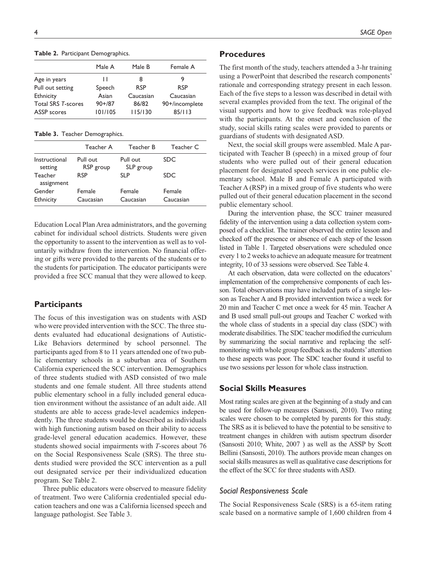|                    | Male A     | Male B     | Female A       |
|--------------------|------------|------------|----------------|
| Age in years       | п          | 8          | 9              |
| Pull out setting   | Speech     | <b>RSP</b> | <b>RSP</b>     |
| Ethnicity          | Asian      | Caucasian  | Caucasian      |
| Total SRS T-scores | $90 + 187$ | 86/82      | 90+/incomplete |
| <b>ASSP</b> scores | 101/105    | 115/130    | 85/113         |

**Table 2.** Participant Demographics.

**Table 3.** Teacher Demographics.

|                       | Teacher A  | Teacher B  | Teacher C  |
|-----------------------|------------|------------|------------|
| Instructional         | Pull out   | Pull out   | <b>SDC</b> |
| setting               | RSP group  | SLP group  |            |
| Teacher<br>assignment | <b>RSP</b> | <b>SLP</b> | <b>SDC</b> |
| Gender                | Female     | Female     | Female     |
| Ethnicity             | Caucasian  | Caucasian  | Caucasian  |

Education Local Plan Area administrators, and the governing cabinet for individual school districts. Students were given the opportunity to assent to the intervention as well as to voluntarily withdraw from the intervention. No financial offering or gifts were provided to the parents of the students or to the students for participation. The educator participants were provided a free SCC manual that they were allowed to keep.

## **Participants**

The focus of this investigation was on students with ASD who were provided intervention with the SCC. The three students evaluated had educational designations of Autistic-Like Behaviors determined by school personnel. The participants aged from 8 to 11 years attended one of two public elementary schools in a suburban area of Southern California experienced the SCC intervention. Demographics of three students studied with ASD consisted of two male students and one female student. All three students attend public elementary school in a fully included general education environment without the assistance of an adult aide. All students are able to access grade-level academics independently. The three students would be described as individuals with high functioning autism based on their ability to access grade-level general education academics. However, these students showed social impairments with *T*-scores about 76 on the Social Responsiveness Scale (SRS). The three students studied were provided the SCC intervention as a pull out designated service per their individualized education program. See Table 2.

Three public educators were observed to measure fidelity of treatment. Two were California credentialed special education teachers and one was a California licensed speech and language pathologist. See Table 3.

### **Procedures**

The first month of the study, teachers attended a 3-hr training using a PowerPoint that described the research components' rationale and corresponding strategy present in each lesson. Each of the five steps to a lesson was described in detail with several examples provided from the text. The original of the visual supports and how to give feedback was role-played with the participants. At the onset and conclusion of the study, social skills rating scales were provided to parents or guardians of students with designated ASD.

Next, the social skill groups were assembled. Male A participated with Teacher B (speech) in a mixed group of four students who were pulled out of their general education placement for designated speech services in one public elementary school. Male B and Female A participated with Teacher A (RSP) in a mixed group of five students who were pulled out of their general education placement in the second public elementary school.

During the intervention phase, the SCC trainer measured fidelity of the intervention using a data collection system composed of a checklist. The trainer observed the entire lesson and checked off the presence or absence of each step of the lesson listed in Table 1. Targeted observations were scheduled once every 1 to 2 weeks to achieve an adequate measure for treatment integrity, 10 of 33 sessions were observed. See Table 4.

At each observation, data were collected on the educators' implementation of the comprehensive components of each lesson. Total observations may have included parts of a single lesson as Teacher A and B provided intervention twice a week for 20 min and Teacher C met once a week for 45 min. Teacher A and B used small pull-out groups and Teacher C worked with the whole class of students in a special day class (SDC) with moderate disabilities. The SDC teacher modified the curriculum by summarizing the social narrative and replacing the selfmonitoring with whole group feedback as the students' attention to these aspects was poor. The SDC teacher found it useful to use two sessions per lesson for whole class instruction.

## **Social Skills Measures**

Most rating scales are given at the beginning of a study and can be used for follow-up measures (Sansosti, 2010). Two rating scales were chosen to be completed by parents for this study. The SRS as it is believed to have the potential to be sensitive to treatment changes in children with autism spectrum disorder (Sansosti 2010; White, 2007 ) as well as the ASSP by Scott Bellini (Sansosti, 2010). The authors provide mean changes on social skills measures as well as qualitative case descriptions for the effect of the SCC for three students with ASD.

#### *Social Responsiveness Scale*

The Social Responsiveness Scale (SRS) is a 65-item rating scale based on a normative sample of 1,600 children from 4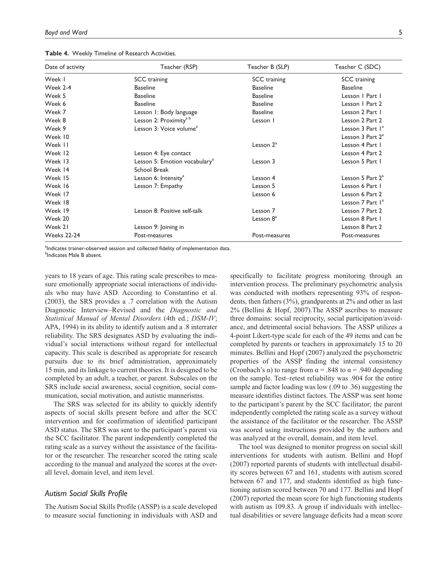| Date of activity   | Teacher (RSP)                             | Teacher B (SLP) | Teacher C (SDC)              |
|--------------------|-------------------------------------------|-----------------|------------------------------|
| Week I             | SCC training                              | SCC training    | SCC training                 |
| Week 2-4           | <b>Baseline</b>                           | <b>Baseline</b> | <b>Baseline</b>              |
| Week 5             | <b>Baseline</b>                           | <b>Baseline</b> | Lesson   Part                |
| Week 6             | <b>Baseline</b>                           | <b>Baseline</b> | Lesson   Part 2              |
| Week 7             | Lesson 1: Body language                   | <b>Baseline</b> | Lesson 2 Part 1              |
| Week 8             | Lesson 2: Proximity <sup>a b</sup>        | Lesson I        | Lesson 2 Part 2              |
| Week 9             | Lesson 3: Voice volume <sup>a</sup>       |                 | Lesson 3 Part $I^a$          |
| Week 10            |                                           |                 | Lesson $3$ Part $2^a$        |
| Week II            |                                           | Lesson $2^a$    | Lesson 4 Part 1              |
| Week 12            | Lesson 4: Eye contact                     |                 | Lesson 4 Part 2              |
| Week 13            | Lesson 5: Emotion vocabulary <sup>a</sup> | Lesson 3        | Lesson 5 Part 1              |
| Week 14            | School Break                              |                 |                              |
| Week 15            | Lesson 6: Intensity <sup>a</sup>          | Lesson 4        | Lesson 5 Part 2 <sup>a</sup> |
| Week 16            | Lesson 7: Empathy                         | Lesson 5        | Lesson 6 Part 1              |
| Week 17            |                                           | Lesson 6        | Lesson 6 Part 2              |
| Week 18            |                                           |                 | Lesson 7 Part 1 <sup>ª</sup> |
| Week 19            | Lesson 8: Positive self-talk              | Lesson 7        | Lesson 7 Part 2              |
| Week 20            |                                           | Lesson $8^a$    | Lesson 8 Part 1              |
| Week 21            | Lesson 9: Joining in                      |                 | Lesson 8 Part 2              |
| <b>Weeks 22-24</b> | Post-measures                             | Post-measures   | Post-measures                |

**Table 4.** Weekly Timeline of Research Activities.

<sup>a</sup>Indicates trainer-observed session and collected fidelity of implementation data.

<sup>b</sup>Indicates Male B absent.

years to 18 years of age. This rating scale prescribes to measure emotionally appropriate social interactions of individuals who may have ASD. According to Constantino et al. (2003), the SRS provides a .7 correlation with the Autism Diagnostic Interview–Revised and the *Diagnostic and Statistical Manual of Mental Disorders* (4th ed.; *DSM-IV*; APA, 1994) in its ability to identify autism and a .8 interrater reliability. The SRS designates ASD by evaluating the individual's social interactions without regard for intellectual capacity. This scale is described as appropriate for research pursuits due to its brief administration, approximately 15 min, and its linkage to current theories. It is designed to be completed by an adult, a teacher, or parent. Subscales on the SRS include social awareness, social cognition, social communication, social motivation, and autistic mannerisms.

The SRS was selected for its ability to quickly identify aspects of social skills present before and after the SCC intervention and for confirmation of identified participant ASD status. The SRS was sent to the participant's parent via the SCC facilitator. The parent independently completed the rating scale as a survey without the assistance of the facilitator or the researcher. The researcher scored the rating scale according to the manual and analyzed the scores at the overall level, domain level, and item level.

### *Autism Social Skills Profile*

The Autism Social Skills Profile (ASSP) is a scale developed to measure social functioning in individuals with ASD and specifically to facilitate progress monitoring through an intervention process. The preliminary psychometric analysis was conducted with mothers representing 93% of respondents, then fathers (3%), grandparents at 2% and other as last 2% (Bellini & Hopf, 2007).The ASSP ascribes to measure three domains: social reciprocity, social participation/avoidance, and detrimental social behaviors. The ASSP utilizes a 4-point Likert-type scale for each of the 49 items and can be completed by parents or teachers in approximately 15 to 20 minutes. Bellini and Hopf (2007) analyzed the psychometric properties of the ASSP finding the internal consistency (Cronbach's  $\alpha$ ) to range from  $\alpha$  = .848 to  $\alpha$  = .940 depending on the sample. Test–retest reliability was .904 for the entire sample and factor loading was low (.09 to .36) suggesting the measure identifies distinct factors. The ASSP was sent home to the participant's parent by the SCC facilitator; the parent independently completed the rating scale as a survey without the assistance of the facilitator or the researcher. The ASSP was scored using instructions provided by the authors and was analyzed at the overall, domain, and item level.

The tool was designed to monitor progress on social skill interventions for students with autism. Bellini and Hopf (2007) reported parents of students with intellectual disability scores between 67 and 161, students with autism scored between 67 and 177, and students identified as high functioning autism scored between 70 and 177. Bellini and Hopf (2007) reported the mean score for high functioning students with autism as 109.83. A group if individuals with intellectual disabilities or severe language deficits had a mean score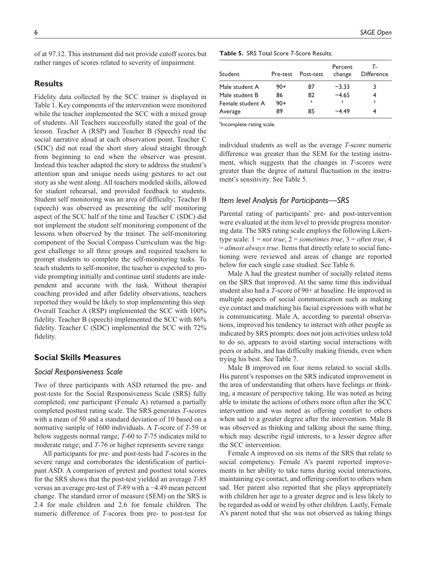of at 97.12. This instrument did not provide cutoff scores but rather ranges of scores related to severity of impairment.

## **Results**

Fidelity data collected by the SCC trainer is displayed in Table 1. Key components of the intervention were monitored while the teacher implemented the SCC with a mixed group of students. All Teachers successfully stated the goal of the lesson. Teacher A (RSP) and Teacher B (Speech) read the social narrative aloud at each observation point. Teacher C (SDC) did not read the short story aloud straight through from beginning to end when the observer was present. Instead this teacher adapted the story to address the student's attention span and unique needs using gestures to act out story as she went along. All teachers modeled skills, allowed for student rehearsal, and provided feedback to students. Student self monitoring was an area of difficulty; Teacher B (speech) was observed as presenting the self monitoring aspect of the SCC half of the time and Teacher C (SDC) did not implement the student self monitoring component of the lessons when observed by the trainer. The self-monitoring component of the Social Compass Curriculum was the biggest challenge to all three groups and required teachers to prompt students to complete the self-monitoring tasks. To teach students to self-monitor, the teacher is expected to provide prompting initially and continue until students are independent and accurate with the task. Without therapist coaching provided and after fidelity observations, teachers reported they would be likely to stop implementing this step. Overall Teacher A (RSP) implemented the SCC with 100% fidelity. Teacher B (speech) implemented the SCC with 86% fidelity. Teacher C (SDC) implemented the SCC with 72% fidelity.

## **Social Skills Measures**

#### *Social Responsiveness Scale*

Two of three participants with ASD returned the pre- and post-tests for the Social Responsiveness Scale (SRS) fully completed; one participant (Female A) returned a partially completed posttest rating scale. The SRS generates *T*-scores with a mean of 50 and a standard deviation of 10 based on a normative sample of 1600 individuals. A *T*-score of *T*-59 or below suggests normal range; *T*-60 to *T*-75 indicates mild to moderate range; and *T*-76 or higher represents severe range

All participants for pre- and post-tests had *T*-scores in the severe range and corroborates the identification of participant ASD. A comparison of pretest and posttest total scores for the SRS shows that the post-test yielded an average *T*-85 versus an average pre-test of *T*-89 with a −4.49 mean percent change. The standard error of measure (SEM) on the SRS is 2.4 for male children and 2.6 for female children. The numeric difference of *T*-scores from pre- to post-test for

| Student          | Pre-test | Post-test | Percent<br>change | Difference |
|------------------|----------|-----------|-------------------|------------|
| Male student A   | $90+$    | 87        | $-3.33$           |            |
| Male student B   | 86       | 82        | $-4.65$           | 4          |
| Female student A | $90+$    | a         | a                 | a          |
| Average          | 89       | 85        | 4 49              |            |

| Table 5. SRS Total Score T-Score Results. |  |
|-------------------------------------------|--|
|-------------------------------------------|--|

<sup>a</sup>lncomplete rating scale.

individual students as well as the average *T*-score numeric difference was greater than the SEM for the testing instrument, which suggests that the changes in *T*-scores were greater than the degree of natural fluctuation in the instrument's sensitivity. See Table 5.

#### *Item level Analysis for Participants—SRS*

Parental rating of participants' pre- and post-intervention were evaluated at the item level to provide progress monitoring data. The SRS rating scale employs the following Likerttype scale: 1 = *not true*, 2 = *sometimes true*, 3 = *often true*, 4 = *almost always true*. Items that directly relate to social functioning were reviewed and areas of change are reported below for each single case studied. See Table 6.

Male A had the greatest number of socially related items on the SRS that improved. At the same time this individual student also had a *T*-score of 90+ at baseline. He improved in multiple aspects of social communication such as making eye contact and matching his facial expressions with what he is communicating. Male A, according to parental observations, improved his tendency to interact with other people as indicated by SRS prompts: does not join activities unless told to do so, appears to avoid starting social interactions with peers or adults, and has difficulty making friends, even when trying his best. See Table 7.

Male B improved on four items related to social skills. His parent's responses on the SRS indicated improvement in the area of understanding that others have feelings or thinking, a measure of perspective taking. He was noted as being able to imitate the actions of others more often after the SCC intervention and was noted as offering comfort to others when sad to a greater degree after the intervention. Male B was observed as thinking and talking about the same thing, which may describe rigid interests, to a lesser degree after the SCC intervention.

Female A improved on six items of the SRS that relate to social competency. Female A's parent reported improvements in her ability to take turns during social interactions, maintaining eye contact, and offering comfort to others when sad. Her parent also reported that she plays appropriately with children her age to a greater degree and is less likely to be regarded as odd or weird by other children. Lastly, Female A's parent noted that she was not observed as taking things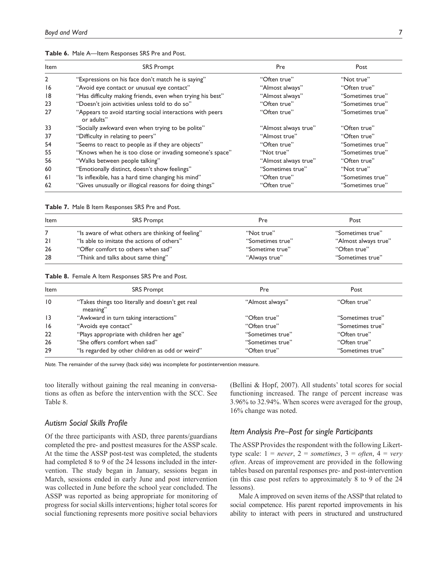| Item           | <b>SRS Prompt</b>                                                       | Pre                  | Post             |
|----------------|-------------------------------------------------------------------------|----------------------|------------------|
| $\overline{2}$ | "Expressions on his face don't match he is saying"                      | "Often true"         | "Not true"       |
| 16             | "Avoid eye contact or unusual eye contact"                              | "Almost always"      | "Often true"     |
| 8              | "Has difficulty making friends, even when trying his best"              | "Almost always"      | "Sometimes true" |
| 23             | "Doesn't join activities unless told to do so"                          | "Often true"         | "Sometimes true" |
| 27             | "Appears to avoid starting social interactions with peers<br>or adults" | "Often true"         | "Sometimes true" |
| 33             | "Socially awkward even when trying to be polite"                        | "Almost always true" | "Often true"     |
| 37             | "Difficulty in relating to peers"                                       | "Almost true"        | "Often true"     |
| 54             | "Seems to react to people as if they are objects"                       | "Often true"         | "Sometimes true" |
| 55             | "Knows when he is too close or invading someone's space"                | "Not true"           | "Sometimes true" |
| 56             | "Walks between people talking"                                          | "Almost always true" | "Often true"     |
| 60             | "Emotionally distinct, doesn't show feelings"                           | "Sometimes true"     | "Not true"       |
| 61             | "Is inflexible, has a hard time changing his mind"                      | "Often true"         | "Sometimes true" |
| 62             | "Gives unusually or illogical reasons for doing things"                 | "Often true"         | "Sometimes true" |

#### **Table 6.** Male A—Item Responses SRS Pre and Post.

**Table 7.** Male B Item Responses SRS Pre and Post.

| Item | <b>SRS Prompt</b>                                 | Pre              | Post                 |
|------|---------------------------------------------------|------------------|----------------------|
|      | "Is aware of what others are thinking of feeling" | "Not true"       | "Sometimes true"     |
| 21   | "Is able to imitate the actions of others"        | "Sometimes true" | "Almost always true" |
| 26   | "Offer comfort to others when sad"                | "Sometime true"  | "Often true"         |
| 28   | "Think and talks about same thing"                | "Always true"    | "Sometimes true"     |

#### **Table 8.** Female A Item Responses SRS Pre and Post.

| Item            | <b>SRS Prompt</b>                                            | Pre              | Post             |
|-----------------|--------------------------------------------------------------|------------------|------------------|
| 10              | "Takes things too literally and doesn't get real<br>meaning" | "Almost always"  | "Often true"     |
| $\overline{13}$ | "Awkward in turn taking interactions"                        | "Often true"     | "Sometimes true" |
| 16              | "Avoids eye contact"                                         | "Often true"     | "Sometimes true" |
| 22              | "Plays appropriate with children her age"                    | "Sometimes true" | "Often true"     |
| 26              | "She offers comfort when sad"                                | "Sometimes true" | "Often true"     |
| 29              | "Is regarded by other children as odd or weird"              | "Often true"     | "Sometimes true" |

*Note.* The remainder of the survey (back side) was incomplete for postintervention measure.

too literally without gaining the real meaning in conversations as often as before the intervention with the SCC. See Table 8.

### *Autism Social Skills Profile*

Of the three participants with ASD, three parents/guardians completed the pre- and posttest measures for the ASSP scale. At the time the ASSP post-test was completed, the students had completed 8 to 9 of the 24 lessons included in the intervention. The study began in January, sessions began in March, sessions ended in early June and post intervention was collected in June before the school year concluded. The ASSP was reported as being appropriate for monitoring of progress for social skills interventions; higher total scores for social functioning represents more positive social behaviors

(Bellini & Hopf, 2007). All students' total scores for social functioning increased. The range of percent increase was 3.96% to 32.94%. When scores were averaged for the group, 16% change was noted.

## *Item Analysis Pre–Post for single Participants*

The ASSP Provides the respondent with the following Likerttype scale:  $1 = never$ ,  $2 = sometimes$ ,  $3 = often$ ,  $4 = very$ *often*. Areas of improvement are provided in the following tables based on parental responses pre- and post-intervention (in this case post refers to approximately 8 to 9 of the 24 lessons).

Male A improved on seven items of the ASSP that related to social competence. His parent reported improvements in his ability to interact with peers in structured and unstructured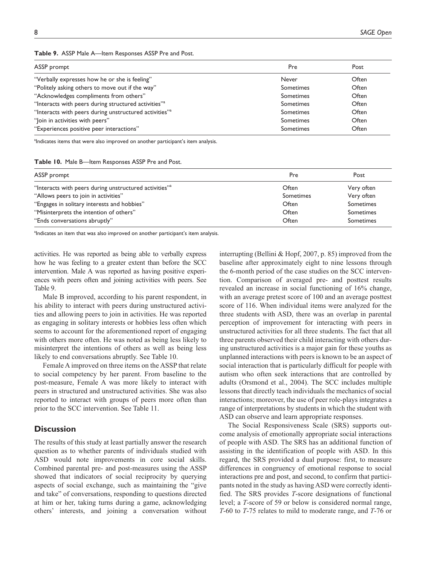| ASSP prompt                                                        | Pre       | Post  |
|--------------------------------------------------------------------|-----------|-------|
| "Verbally expresses how he or she is feeling"                      | Never     | Often |
| "Politely asking others to move out if the way"                    | Sometimes | Often |
| "Acknowledges compliments from others"                             | Sometimes | Often |
| "Interacts with peers during structured activities" <sup>a</sup>   | Sometimes | Often |
| "Interacts with peers during unstructured activities" <sup>a</sup> | Sometimes | Often |
| "loin in activities with peers"                                    | Sometimes | Often |
| "Experiences positive peer interactions"                           | Sometimes | Often |

#### **Table 9.** ASSP Male A—Item Responses ASSP Pre and Post.

<sup>a</sup>Indicates items that were also improved on another participant's item analysis.

| Table 10. Male B-ltem Responses ASSP Pre and Post. |  |  |
|----------------------------------------------------|--|--|
|----------------------------------------------------|--|--|

| ASSP prompt                                                        | Pre       | Post       |
|--------------------------------------------------------------------|-----------|------------|
| "Interacts with peers during unstructured activities" <sup>a</sup> | Often     | Very often |
| "Allows peers to join in activities"                               | Sometimes | Very often |
| "Engages in solitary interests and hobbies"                        | Often     | Sometimes  |
| "Misinterprets the intention of others"                            | Often     | Sometimes  |
| "Ends conversations abruptly"                                      | Often     | Sometimes  |

<sup>a</sup>Indicates an item that was also improved on another participant's item analysis.

activities. He was reported as being able to verbally express how he was feeling to a greater extent than before the SCC intervention. Male A was reported as having positive experiences with peers often and joining activities with peers. See Table 9.

Male B improved, according to his parent respondent, in his ability to interact with peers during unstructured activities and allowing peers to join in activities. He was reported as engaging in solitary interests or hobbies less often which seems to account for the aforementioned report of engaging with others more often. He was noted as being less likely to misinterpret the intentions of others as well as being less likely to end conversations abruptly. See Table 10.

Female A improved on three items on the ASSP that relate to social competency by her parent. From baseline to the post-measure, Female A was more likely to interact with peers in structured and unstructured activities. She was also reported to interact with groups of peers more often than prior to the SCC intervention. See Table 11.

#### **Discussion**

The results of this study at least partially answer the research question as to whether parents of individuals studied with ASD would note improvements in core social skills. Combined parental pre- and post-measures using the ASSP showed that indicators of social reciprocity by querying aspects of social exchange, such as maintaining the "give and take" of conversations, responding to questions directed at him or her, taking turns during a game, acknowledging others' interests, and joining a conversation without

interrupting (Bellini & Hopf, 2007, p. 85) improved from the baseline after approximately eight to nine lessons through the 6-month period of the case studies on the SCC intervention. Comparison of averaged pre- and posttest results revealed an increase in social functioning of 16% change, with an average pretest score of 100 and an average posttest score of 116. When individual items were analyzed for the three students with ASD, there was an overlap in parental perception of improvement for interacting with peers in unstructured activities for all three students. The fact that all three parents observed their child interacting with others during unstructured activities is a major gain for these youths as unplanned interactions with peers is known to be an aspect of social interaction that is particularly difficult for people with autism who often seek interactions that are controlled by adults (Orsmond et al., 2004). The SCC includes multiple lessons that directly teach individuals the mechanics of social interactions; moreover, the use of peer role-plays integrates a range of interpretations by students in which the student with ASD can observe and learn appropriate responses.

The Social Responsiveness Scale (SRS) supports outcome analysis of emotionally appropriate social interactions of people with ASD. The SRS has an additional function of assisting in the identification of people with ASD. In this regard, the SRS provided a dual purpose: first, to measure differences in congruency of emotional response to social interactions pre and post, and second, to confirm that participants noted in the study as having ASD were correctly identified. The SRS provides *T*-score designations of functional level; a *T*-score of 59 or below is considered normal range, *T*-60 to *T*-75 relates to mild to moderate range, and *T*-76 or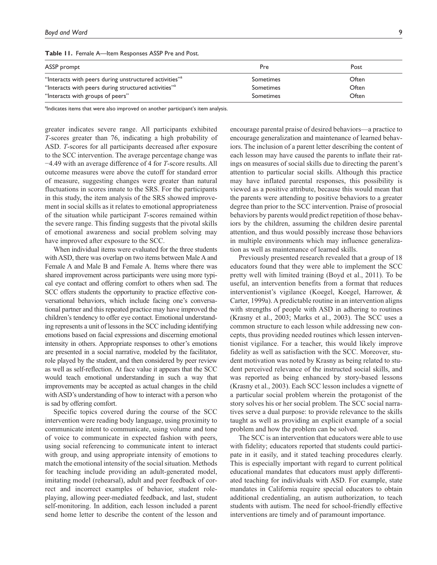| ASSP prompt                                                        | Pre       | Post  |  |
|--------------------------------------------------------------------|-----------|-------|--|
| "Interacts with peers during unstructured activities" <sup>a</sup> | Sometimes | Often |  |
| "Interacts with peers during structured activities" <sup>a</sup>   | Sometimes | Often |  |
| "Interacts with groups of peers"                                   | Sometimes | Often |  |

#### **Table 11.** Female A—Item Responses ASSP Pre and Post.

<sup>a</sup>Indicates items that were also improved on another participant's item analysis.

greater indicates severe range. All participants exhibited *T*-scores greater than 76, indicating a high probability of ASD. *T*-scores for all participants decreased after exposure to the SCC intervention. The average percentage change was −4.49 with an average difference of 4 for *T*-score results. All outcome measures were above the cutoff for standard error of measure, suggesting changes were greater than natural fluctuations in scores innate to the SRS. For the participants in this study, the item analysis of the SRS showed improvement in social skills as it relates to emotional appropriateness of the situation while participant *T*-scores remained within the severe range. This finding suggests that the pivotal skills of emotional awareness and social problem solving may have improved after exposure to the SCC.

When individual items were evaluated for the three students with ASD, there was overlap on two items between Male A and Female A and Male B and Female A. Items where there was shared improvement across participants were using more typical eye contact and offering comfort to others when sad. The SCC offers students the opportunity to practice effective conversational behaviors, which include facing one's conversational partner and this repeated practice may have improved the children's tendency to offer eye contact. Emotional understanding represents a unit of lessons in the SCC including identifying emotions based on facial expressions and discerning emotional intensity in others. Appropriate responses to other's emotions are presented in a social narrative, modeled by the facilitator, role played by the student, and then considered by peer review as well as self-reflection. At face value it appears that the SCC would teach emotional understanding in such a way that improvements may be accepted as actual changes in the child with ASD's understanding of how to interact with a person who is sad by offering comfort.

Specific topics covered during the course of the SCC intervention were reading body language, using proximity to communicate intent to communicate, using volume and tone of voice to communicate in expected fashion with peers, using social referencing to communicate intent to interact with group, and using appropriate intensity of emotions to match the emotional intensity of the social situation. Methods for teaching include providing an adult-generated model, imitating model (rehearsal), adult and peer feedback of correct and incorrect examples of behavior, student roleplaying, allowing peer-mediated feedback, and last, student self-monitoring. In addition, each lesson included a parent send home letter to describe the content of the lesson and

encourage parental praise of desired behaviors—a practice to encourage generalization and maintenance of learned behaviors. The inclusion of a parent letter describing the content of each lesson may have caused the parents to inflate their ratings on measures of social skills due to directing the parent's attention to particular social skills. Although this practice may have inflated parental responses, this possibility is viewed as a positive attribute, because this would mean that the parents were attending to positive behaviors to a greater degree than prior to the SCC intervention. Praise of prosocial behaviors by parents would predict repetition of those behaviors by the children, assuming the children desire parental attention, and thus would possibly increase those behaviors in multiple environments which may influence generalization as well as maintenance of learned skills.

Previously presented research revealed that a group of 18 educators found that they were able to implement the SCC pretty well with limited training (Boyd et al., 2011). To be useful, an intervention benefits from a format that reduces interventionist's vigilance (Koegel, Koegel, Harrower, & Carter, 1999a). A predictable routine in an intervention aligns with strengths of people with ASD in adhering to routines (Krasny et al., 2003; Marks et al., 2003). The SCC uses a common structure to each lesson while addressing new concepts, thus providing needed routines which lessen interventionist vigilance. For a teacher, this would likely improve fidelity as well as satisfaction with the SCC. Moreover, student motivation was noted by Krasny as being related to student perceived relevance of the instructed social skills, and was reported as being enhanced by story-based lessons (Krasny et al., 2003). Each SCC lesson includes a vignette of a particular social problem wherein the protagonist of the story solves his or her social problem. The SCC social narratives serve a dual purpose: to provide relevance to the skills taught as well as providing an explicit example of a social problem and how the problem can be solved.

The SCC is an intervention that educators were able to use with fidelity; educators reported that students could participate in it easily, and it stated teaching procedures clearly. This is especially important with regard to current political educational mandates that educators must apply differentiated teaching for individuals with ASD. For example, state mandates in California require special educators to obtain additional credentialing, an autism authorization, to teach students with autism. The need for school-friendly effective interventions are timely and of paramount importance.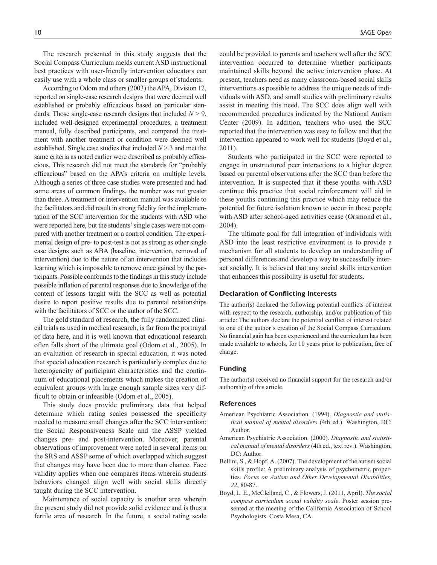The research presented in this study suggests that the Social Compass Curriculum melds current ASD instructional best practices with user-friendly intervention educators can easily use with a whole class or smaller groups of students.

According to Odom and others (2003) the APA, Division 12, reported on single-case research designs that were deemed well established or probably efficacious based on particular standards. Those single-case research designs that included  $N > 9$ , included well-designed experimental procedures, a treatment manual, fully described participants, and compared the treatment with another treatment or condition were deemed well established. Single case studies that included  $N > 3$  and met the same criteria as noted earlier were described as probably efficacious. This research did not meet the standards for "probably efficacious" based on the APA's criteria on multiple levels. Although a series of three case studies were presented and had some areas of common findings, the number was not greater than three. A treatment or intervention manual was available to the facilitators and did result in strong fidelity for the implementation of the SCC intervention for the students with ASD who were reported here, but the students' single cases were not compared with another treatment or a control condition. The experimental design of pre- to post-test is not as strong as other single case designs such as ABA (baseline, intervention, removal of intervention) due to the nature of an intervention that includes learning which is impossible to remove once gained by the participants. Possible confounds to the findings in this study include possible inflation of parental responses due to knowledge of the content of lessons taught with the SCC as well as potential desire to report positive results due to parental relationships with the facilitators of SCC or the author of the SCC.

The gold standard of research, the fully randomized clinical trials as used in medical research, is far from the portrayal of data here, and it is well known that educational research often falls short of the ultimate goal (Odom et al., 2005). In an evaluation of research in special education, it was noted that special education research is particularly complex due to heterogeneity of participant characteristics and the continuum of educational placements which makes the creation of equivalent groups with large enough sample sizes very difficult to obtain or infeasible (Odom et al., 2005).

This study does provide preliminary data that helped determine which rating scales possessed the specificity needed to measure small changes after the SCC intervention; the Social Responsiveness Scale and the ASSP yielded changes pre- and post-intervention. Moreover, parental observations of improvement were noted in several items on the SRS and ASSP some of which overlapped which suggest that changes may have been due to more than chance. Face validity applies when one compares items wherein students behaviors changed align well with social skills directly taught during the SCC intervention.

Maintenance of social capacity is another area wherein the present study did not provide solid evidence and is thus a fertile area of research. In the future, a social rating scale

could be provided to parents and teachers well after the SCC intervention occurred to determine whether participants maintained skills beyond the active intervention phase. At present, teachers need as many classroom-based social skills interventions as possible to address the unique needs of individuals with ASD, and small studies with preliminary results assist in meeting this need. The SCC does align well with recommended procedures indicated by the National Autism Center (2009). In addition, teachers who used the SCC reported that the intervention was easy to follow and that the intervention appeared to work well for students (Boyd et al., 2011).

Students who participated in the SCC were reported to engage in unstructured peer interactions to a higher degree based on parental observations after the SCC than before the intervention. It is suspected that if these youths with ASD continue this practice that social reinforcement will aid in these youths continuing this practice which may reduce the potential for future isolation known to occur in those people with ASD after school-aged activities cease (Orsmond et al., 2004).

The ultimate goal for full integration of individuals with ASD into the least restrictive environment is to provide a mechanism for all students to develop an understanding of personal differences and develop a way to successfully interact socially. It is believed that any social skills intervention that enhances this possibility is useful for students.

#### **Declaration of Conflicting Interests**

The author(s) declared the following potential conflicts of interest with respect to the research, authorship, and/or publication of this article: The authors declare the potential conflict of interest related to one of the author's creation of the Social Compass Curriculum. No financial gain has been experienced and the curriculum has been made available to schools, for 10 years prior to publication, free of charge.

#### **Funding**

The author(s) received no financial support for the research and/or authorship of this article.

#### **References**

- American Psychiatric Association. (1994). *Diagnostic and statistical manual of mental disorders* (4th ed.). Washington, DC: Author.
- American Psychiatric Association. (2000). *Diagnostic and statistical manual of mental disorders* (4th ed., text rev.). Washington, DC: Author.
- Bellini, S., & Hopf, A. (2007). The development of the autism social skills profile: A preliminary analysis of psychometric properties. *Focus on Autism and Other Developmental Disabilities*, *22*, 80-87.
- Boyd, L. E., McClelland, C., & Flowers, J. (2011, April). *The social compass curriculum social validity scale*. Poster session presented at the meeting of the California Association of School Psychologists. Costa Mesa, CA.